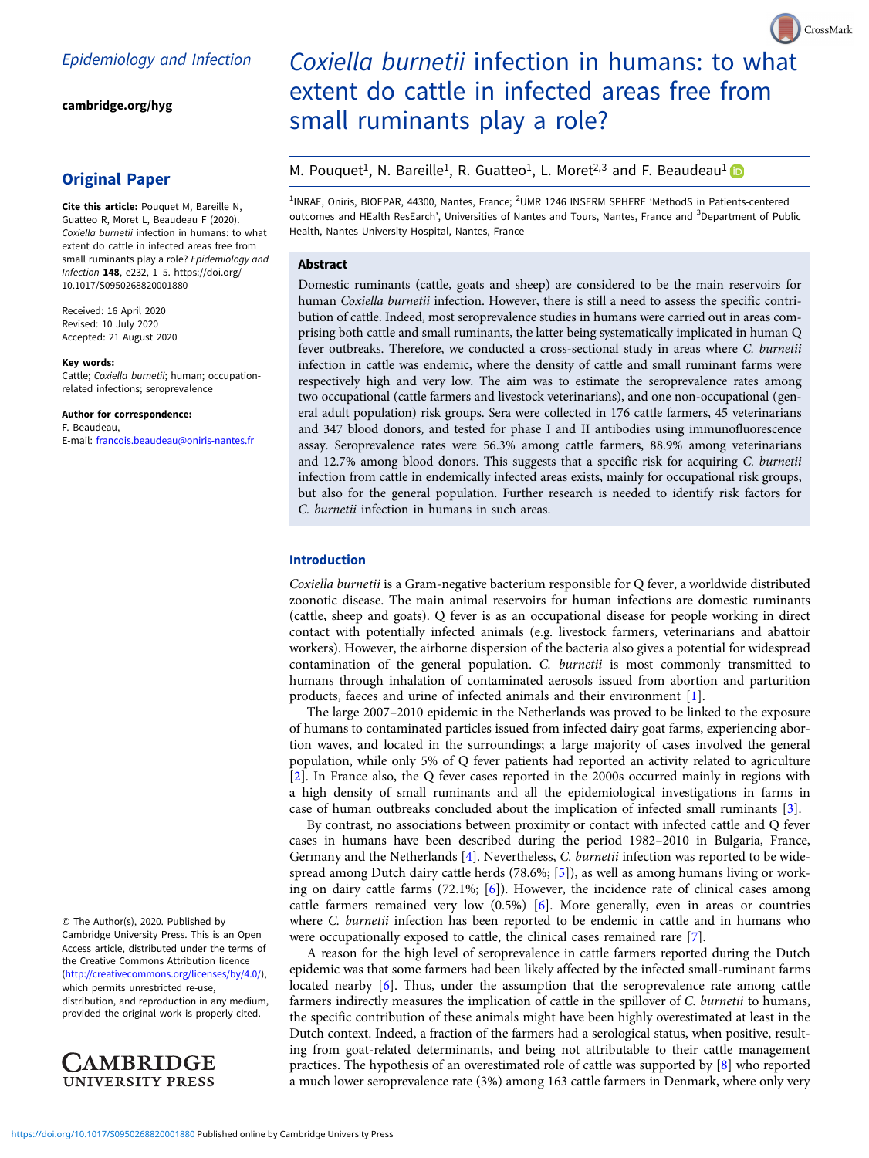[cambridge.org/hyg](https://www.cambridge.org/hyg)

# Original Paper

Cite this article: Pouquet M, Bareille N, Guatteo R, Moret L, Beaudeau F (2020). Coxiella burnetii infection in humans: to what extent do cattle in infected areas free from small ruminants play a role? Epidemiology and Infection 148, e232, 1–5. [https://doi.org/](https://doi.org/10.1017/S0950268820001880) [10.1017/S0950268820001880](https://doi.org/10.1017/S0950268820001880)

Received: 16 April 2020 Revised: 10 July 2020 Accepted: 21 August 2020

#### Key words:

Cattle; Coxiella burnetii; human; occupationrelated infections; seroprevalence

Author for correspondence: F. Beaudeau, E-mail: [francois.beaudeau@oniris-nantes.fr](mailto:francois.beaudeau@oniris-nantes.fr)

© The Author(s), 2020. Published by Cambridge University Press. This is an Open Access article, distributed under the terms of the Creative Commons Attribution licence ([http://creativecommons.org/licenses/by/4.0/\)](http://creativecommons.org/licenses/by/4.0/), which permits unrestricted re-use,

distribution, and reproduction in any medium, provided the original work is properly cited.

**AMBRIDGE UNIVERSITY PRESS** 

# Coxiella burnetii infection in humans: to what extent do cattle in infected areas free from small ruminants play a role?

CrossMark

# M. Pouquet<sup>1</sup>, N. Bareille<sup>1</sup>, R. Guatteo<sup>1</sup>, L. Moret<sup>2,3</sup> and F. Beaudeau<sup>1</sup>

<sup>1</sup>INRAE, Oniris, BIOEPAR, 44300, Nantes, France; <sup>2</sup>UMR 1246 INSERM SPHERE 'MethodS in Patients-centered outcomes and HEalth ResEarch', Universities of Nantes and Tours, Nantes, France and <sup>3</sup>Department of Public Health, Nantes University Hospital, Nantes, France

# Abstract

Domestic ruminants (cattle, goats and sheep) are considered to be the main reservoirs for human Coxiella burnetii infection. However, there is still a need to assess the specific contribution of cattle. Indeed, most seroprevalence studies in humans were carried out in areas comprising both cattle and small ruminants, the latter being systematically implicated in human Q fever outbreaks. Therefore, we conducted a cross-sectional study in areas where C. burnetii infection in cattle was endemic, where the density of cattle and small ruminant farms were respectively high and very low. The aim was to estimate the seroprevalence rates among two occupational (cattle farmers and livestock veterinarians), and one non-occupational (general adult population) risk groups. Sera were collected in 176 cattle farmers, 45 veterinarians and 347 blood donors, and tested for phase I and II antibodies using immunofluorescence assay. Seroprevalence rates were 56.3% among cattle farmers, 88.9% among veterinarians and 12.7% among blood donors. This suggests that a specific risk for acquiring C. burnetii infection from cattle in endemically infected areas exists, mainly for occupational risk groups, but also for the general population. Further research is needed to identify risk factors for C. burnetii infection in humans in such areas.

## Introduction

Coxiella burnetii is a Gram-negative bacterium responsible for Q fever, a worldwide distributed zoonotic disease. The main animal reservoirs for human infections are domestic ruminants (cattle, sheep and goats). Q fever is as an occupational disease for people working in direct contact with potentially infected animals (e.g. livestock farmers, veterinarians and abattoir workers). However, the airborne dispersion of the bacteria also gives a potential for widespread contamination of the general population. C. burnetii is most commonly transmitted to humans through inhalation of contaminated aerosols issued from abortion and parturition products, faeces and urine of infected animals and their environment [[1](#page-4-0)].

The large 2007–2010 epidemic in the Netherlands was proved to be linked to the exposure of humans to contaminated particles issued from infected dairy goat farms, experiencing abortion waves, and located in the surroundings; a large majority of cases involved the general population, while only 5% of Q fever patients had reported an activity related to agriculture [[2](#page-4-0)]. In France also, the Q fever cases reported in the 2000s occurred mainly in regions with a high density of small ruminants and all the epidemiological investigations in farms in case of human outbreaks concluded about the implication of infected small ruminants [[3](#page-4-0)].

By contrast, no associations between proximity or contact with infected cattle and Q fever cases in humans have been described during the period 1982–2010 in Bulgaria, France, Germany and the Netherlands [\[4\]](#page-4-0). Nevertheless, C. burnetii infection was reported to be widespread among Dutch dairy cattle herds (78.6%; [[5](#page-4-0)]), as well as among humans living or working on dairy cattle farms (72.1%; [\[6\]](#page-4-0)). However, the incidence rate of clinical cases among cattle farmers remained very low (0.5%) [\[6\]](#page-4-0). More generally, even in areas or countries where C. burnetii infection has been reported to be endemic in cattle and in humans who were occupationally exposed to cattle, the clinical cases remained rare [[7\]](#page-4-0).

A reason for the high level of seroprevalence in cattle farmers reported during the Dutch epidemic was that some farmers had been likely affected by the infected small-ruminant farms located nearby [[6](#page-4-0)]. Thus, under the assumption that the seroprevalence rate among cattle farmers indirectly measures the implication of cattle in the spillover of C. burnetii to humans, the specific contribution of these animals might have been highly overestimated at least in the Dutch context. Indeed, a fraction of the farmers had a serological status, when positive, resulting from goat-related determinants, and being not attributable to their cattle management practices. The hypothesis of an overestimated role of cattle was supported by [\[8\]](#page-4-0) who reported a much lower seroprevalence rate (3%) among 163 cattle farmers in Denmark, where only very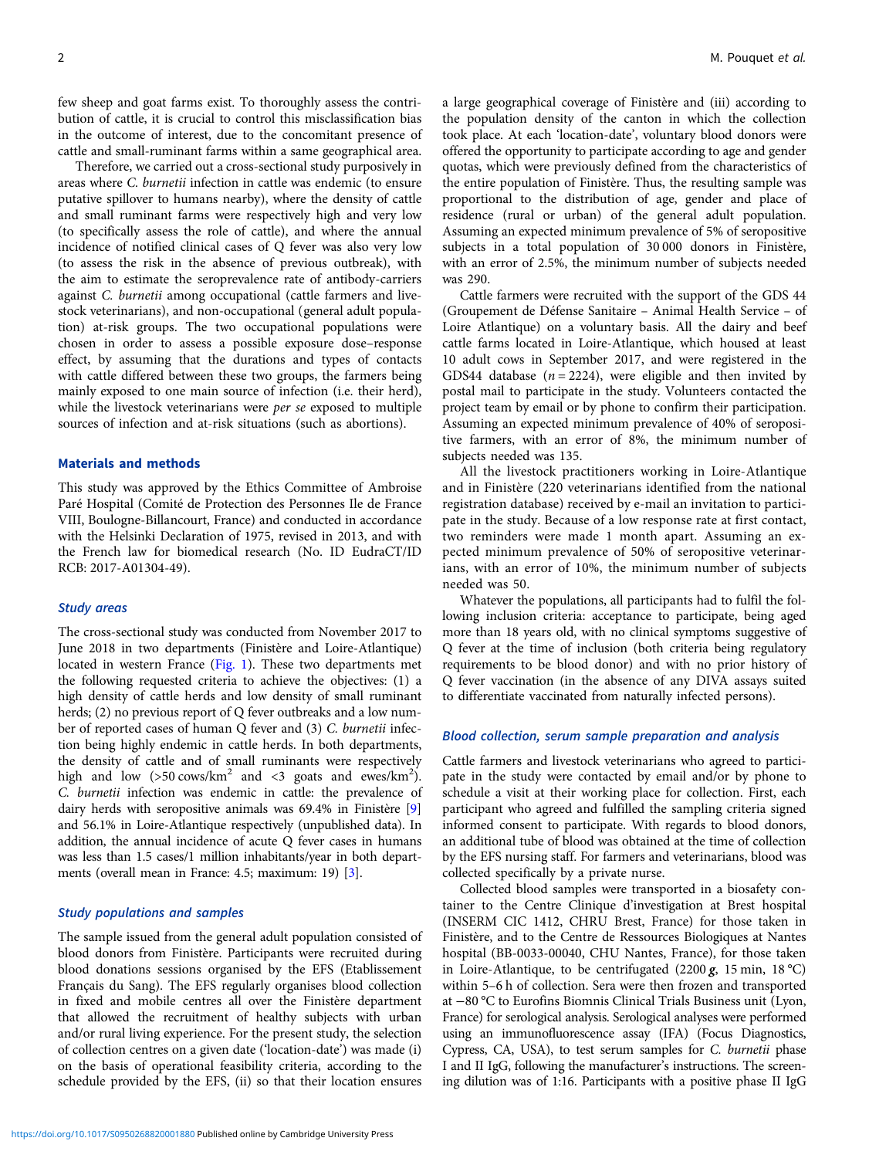few sheep and goat farms exist. To thoroughly assess the contribution of cattle, it is crucial to control this misclassification bias in the outcome of interest, due to the concomitant presence of cattle and small-ruminant farms within a same geographical area.

Therefore, we carried out a cross-sectional study purposively in areas where C. burnetii infection in cattle was endemic (to ensure putative spillover to humans nearby), where the density of cattle and small ruminant farms were respectively high and very low (to specifically assess the role of cattle), and where the annual incidence of notified clinical cases of Q fever was also very low (to assess the risk in the absence of previous outbreak), with the aim to estimate the seroprevalence rate of antibody-carriers against C. burnetii among occupational (cattle farmers and livestock veterinarians), and non-occupational (general adult population) at-risk groups. The two occupational populations were chosen in order to assess a possible exposure dose–response effect, by assuming that the durations and types of contacts with cattle differed between these two groups, the farmers being mainly exposed to one main source of infection (i.e. their herd), while the livestock veterinarians were *per se* exposed to multiple sources of infection and at-risk situations (such as abortions).

## Materials and methods

This study was approved by the Ethics Committee of Ambroise Paré Hospital (Comité de Protection des Personnes Ile de France VIII, Boulogne-Billancourt, France) and conducted in accordance with the Helsinki Declaration of 1975, revised in 2013, and with the French law for biomedical research (No. ID EudraCT/ID RCB: 2017-A01304-49).

#### Study areas

The cross-sectional study was conducted from November 2017 to June 2018 in two departments (Finistère and Loire-Atlantique) located in western France [\(Fig. 1\)](#page-2-0). These two departments met the following requested criteria to achieve the objectives: (1) a high density of cattle herds and low density of small ruminant herds; (2) no previous report of Q fever outbreaks and a low number of reported cases of human Q fever and (3) C. burnetii infection being highly endemic in cattle herds. In both departments, the density of cattle and of small ruminants were respectively high and low  $(50 \text{ cows/km}^2 \text{ and } 50 \text{ goats and } 100 \text{ m/s})$ . C. burnetii infection was endemic in cattle: the prevalence of dairy herds with seropositive animals was 69.4% in Finistère [\[9\]](#page-4-0) and 56.1% in Loire-Atlantique respectively (unpublished data). In addition, the annual incidence of acute Q fever cases in humans was less than 1.5 cases/1 million inhabitants/year in both departments (overall mean in France: 4.5; maximum: 19) [[3](#page-4-0)].

#### Study populations and samples

The sample issued from the general adult population consisted of blood donors from Finistère. Participants were recruited during blood donations sessions organised by the EFS (Etablissement Français du Sang). The EFS regularly organises blood collection in fixed and mobile centres all over the Finistère department that allowed the recruitment of healthy subjects with urban and/or rural living experience. For the present study, the selection of collection centres on a given date ('location-date') was made (i) on the basis of operational feasibility criteria, according to the schedule provided by the EFS, (ii) so that their location ensures

a large geographical coverage of Finistère and (iii) according to the population density of the canton in which the collection took place. At each 'location-date', voluntary blood donors were offered the opportunity to participate according to age and gender quotas, which were previously defined from the characteristics of the entire population of Finistère. Thus, the resulting sample was proportional to the distribution of age, gender and place of residence (rural or urban) of the general adult population. Assuming an expected minimum prevalence of 5% of seropositive subjects in a total population of 30 000 donors in Finistère, with an error of 2.5%, the minimum number of subjects needed was 290.

Cattle farmers were recruited with the support of the GDS 44 (Groupement de Défense Sanitaire – Animal Health Service – of Loire Atlantique) on a voluntary basis. All the dairy and beef cattle farms located in Loire-Atlantique, which housed at least 10 adult cows in September 2017, and were registered in the GDS44 database ( $n = 2224$ ), were eligible and then invited by postal mail to participate in the study. Volunteers contacted the project team by email or by phone to confirm their participation. Assuming an expected minimum prevalence of 40% of seropositive farmers, with an error of 8%, the minimum number of subjects needed was 135.

All the livestock practitioners working in Loire-Atlantique and in Finistère (220 veterinarians identified from the national registration database) received by e-mail an invitation to participate in the study. Because of a low response rate at first contact, two reminders were made 1 month apart. Assuming an expected minimum prevalence of 50% of seropositive veterinarians, with an error of 10%, the minimum number of subjects needed was 50.

Whatever the populations, all participants had to fulfil the following inclusion criteria: acceptance to participate, being aged more than 18 years old, with no clinical symptoms suggestive of Q fever at the time of inclusion (both criteria being regulatory requirements to be blood donor) and with no prior history of Q fever vaccination (in the absence of any DIVA assays suited to differentiate vaccinated from naturally infected persons).

## Blood collection, serum sample preparation and analysis

Cattle farmers and livestock veterinarians who agreed to participate in the study were contacted by email and/or by phone to schedule a visit at their working place for collection. First, each participant who agreed and fulfilled the sampling criteria signed informed consent to participate. With regards to blood donors, an additional tube of blood was obtained at the time of collection by the EFS nursing staff. For farmers and veterinarians, blood was collected specifically by a private nurse.

Collected blood samples were transported in a biosafety container to the Centre Clinique d'investigation at Brest hospital (INSERM CIC 1412, CHRU Brest, France) for those taken in Finistère, and to the Centre de Ressources Biologiques at Nantes hospital (BB-0033-00040, CHU Nantes, France), for those taken in Loire-Atlantique, to be centrifugated (2200  $g$ , 15 min, 18 °C) within 5–6 h of collection. Sera were then frozen and transported at −80 °C to Eurofins Biomnis Clinical Trials Business unit (Lyon, France) for serological analysis. Serological analyses were performed using an immunofluorescence assay (IFA) (Focus Diagnostics, Cypress, CA, USA), to test serum samples for C. burnetii phase I and II IgG, following the manufacturer's instructions. The screening dilution was of 1:16. Participants with a positive phase II IgG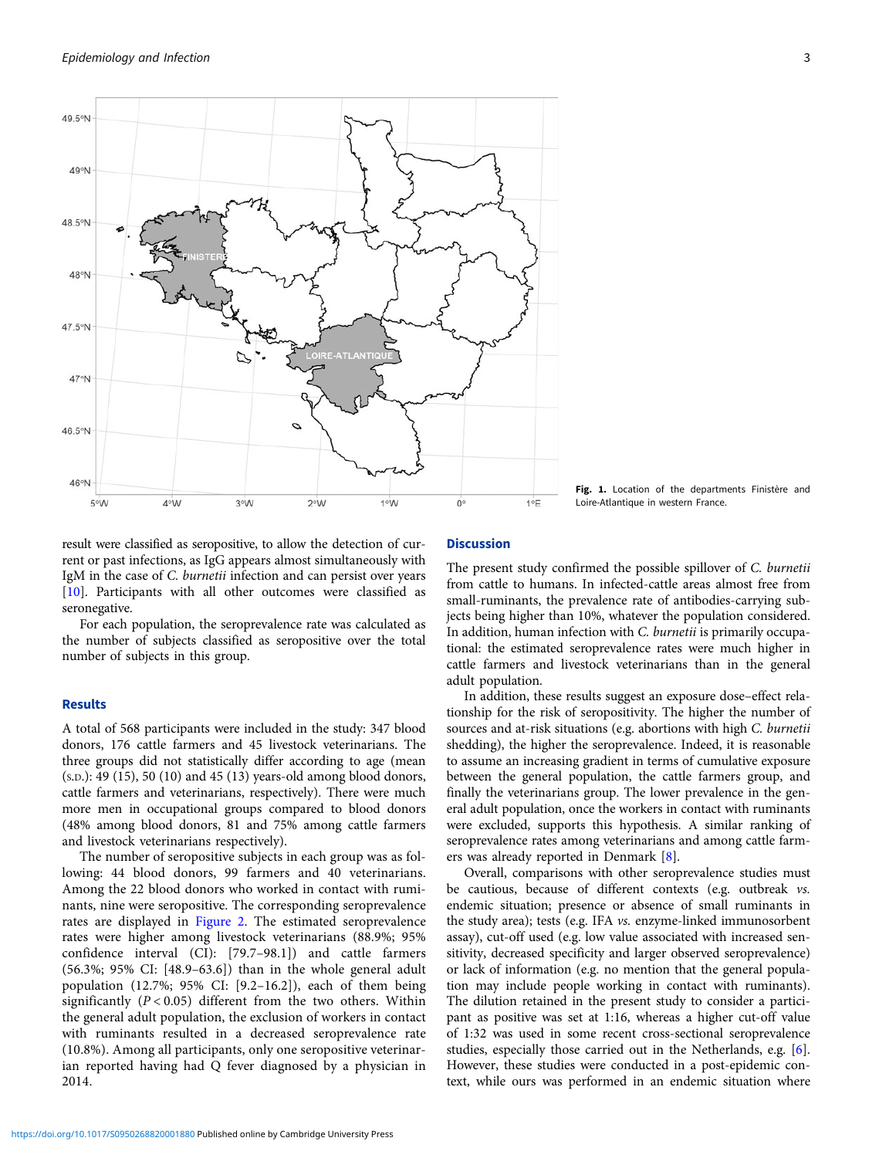<span id="page-2-0"></span>

Fig. 1. Location of the departments Finistère and Loire-Atlantique in western France.

result were classified as seropositive, to allow the detection of current or past infections, as IgG appears almost simultaneously with IgM in the case of C. burnetii infection and can persist over years [[10\]](#page-4-0). Participants with all other outcomes were classified as seronegative.

For each population, the seroprevalence rate was calculated as the number of subjects classified as seropositive over the total number of subjects in this group.

# Results

A total of 568 participants were included in the study: 347 blood donors, 176 cattle farmers and 45 livestock veterinarians. The three groups did not statistically differ according to age (mean (S.D.): 49 (15), 50 (10) and 45 (13) years-old among blood donors, cattle farmers and veterinarians, respectively). There were much more men in occupational groups compared to blood donors (48% among blood donors, 81 and 75% among cattle farmers and livestock veterinarians respectively).

The number of seropositive subjects in each group was as following: 44 blood donors, 99 farmers and 40 veterinarians. Among the 22 blood donors who worked in contact with ruminants, nine were seropositive. The corresponding seroprevalence rates are displayed in [Figure 2.](#page-3-0) The estimated seroprevalence rates were higher among livestock veterinarians (88.9%; 95% confidence interval (CI): [79.7–98.1]) and cattle farmers (56.3%; 95% CI: [48.9–63.6]) than in the whole general adult population (12.7%; 95% CI: [9.2–16.2]), each of them being significantly  $(P < 0.05)$  different from the two others. Within the general adult population, the exclusion of workers in contact with ruminants resulted in a decreased seroprevalence rate (10.8%). Among all participants, only one seropositive veterinarian reported having had Q fever diagnosed by a physician in 2014.

# **Discussion**

The present study confirmed the possible spillover of C. burnetii from cattle to humans. In infected-cattle areas almost free from small-ruminants, the prevalence rate of antibodies-carrying subjects being higher than 10%, whatever the population considered. In addition, human infection with C. burnetii is primarily occupational: the estimated seroprevalence rates were much higher in cattle farmers and livestock veterinarians than in the general adult population.

In addition, these results suggest an exposure dose–effect relationship for the risk of seropositivity. The higher the number of sources and at-risk situations (e.g. abortions with high C. burnetii shedding), the higher the seroprevalence. Indeed, it is reasonable to assume an increasing gradient in terms of cumulative exposure between the general population, the cattle farmers group, and finally the veterinarians group. The lower prevalence in the general adult population, once the workers in contact with ruminants were excluded, supports this hypothesis. A similar ranking of seroprevalence rates among veterinarians and among cattle farmers was already reported in Denmark [\[8\]](#page-4-0).

Overall, comparisons with other seroprevalence studies must be cautious, because of different contexts (e.g. outbreak vs. endemic situation; presence or absence of small ruminants in the study area); tests (e.g. IFA vs. enzyme-linked immunosorbent assay), cut-off used (e.g. low value associated with increased sensitivity, decreased specificity and larger observed seroprevalence) or lack of information (e.g. no mention that the general population may include people working in contact with ruminants). The dilution retained in the present study to consider a participant as positive was set at 1:16, whereas a higher cut-off value of 1:32 was used in some recent cross-sectional seroprevalence studies, especially those carried out in the Netherlands, e.g. [[6](#page-4-0)]. However, these studies were conducted in a post-epidemic context, while ours was performed in an endemic situation where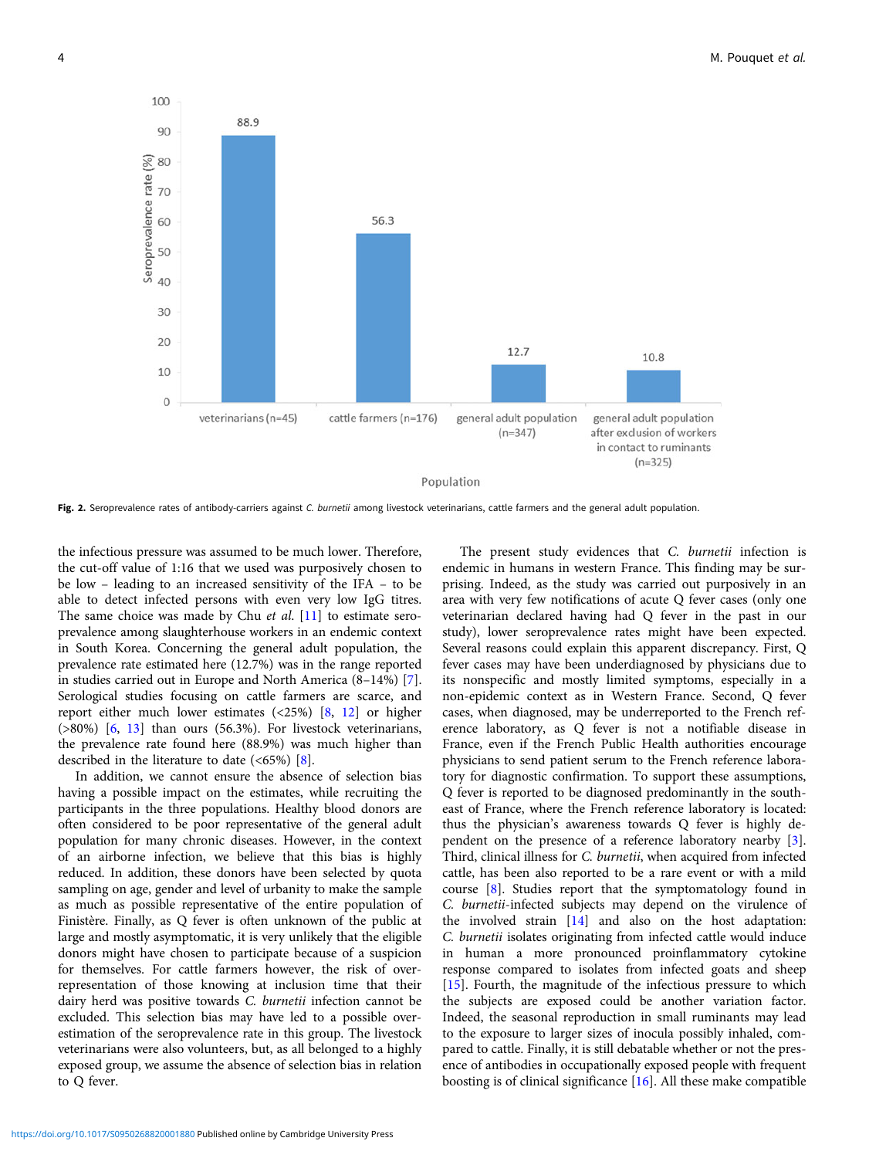<span id="page-3-0"></span>

Fig. 2. Seroprevalence rates of antibody-carriers against C. burnetii among livestock veterinarians, cattle farmers and the general adult population.

the infectious pressure was assumed to be much lower. Therefore, the cut-off value of 1:16 that we used was purposively chosen to be low – leading to an increased sensitivity of the IFA – to be able to detect infected persons with even very low IgG titres. The same choice was made by Chu et al. [[11\]](#page-4-0) to estimate seroprevalence among slaughterhouse workers in an endemic context in South Korea. Concerning the general adult population, the prevalence rate estimated here (12.7%) was in the range reported in studies carried out in Europe and North America (8–14%) [\[7\]](#page-4-0). Serological studies focusing on cattle farmers are scarce, and report either much lower estimates  $(\langle 25\% \rangle)$   $[8, 12]$  $[8, 12]$  $[8, 12]$  $[8, 12]$  $[8, 12]$  or higher (>80%) [[6](#page-4-0), [13\]](#page-4-0) than ours (56.3%). For livestock veterinarians, the prevalence rate found here (88.9%) was much higher than described in the literature to date  $(<65\%)$  [[8\]](#page-4-0).

In addition, we cannot ensure the absence of selection bias having a possible impact on the estimates, while recruiting the participants in the three populations. Healthy blood donors are often considered to be poor representative of the general adult population for many chronic diseases. However, in the context of an airborne infection, we believe that this bias is highly reduced. In addition, these donors have been selected by quota sampling on age, gender and level of urbanity to make the sample as much as possible representative of the entire population of Finistère. Finally, as Q fever is often unknown of the public at large and mostly asymptomatic, it is very unlikely that the eligible donors might have chosen to participate because of a suspicion for themselves. For cattle farmers however, the risk of overrepresentation of those knowing at inclusion time that their dairy herd was positive towards C. burnetii infection cannot be excluded. This selection bias may have led to a possible overestimation of the seroprevalence rate in this group. The livestock veterinarians were also volunteers, but, as all belonged to a highly exposed group, we assume the absence of selection bias in relation to Q fever.

The present study evidences that C. burnetii infection is endemic in humans in western France. This finding may be surprising. Indeed, as the study was carried out purposively in an area with very few notifications of acute Q fever cases (only one veterinarian declared having had Q fever in the past in our study), lower seroprevalence rates might have been expected. Several reasons could explain this apparent discrepancy. First, Q fever cases may have been underdiagnosed by physicians due to its nonspecific and mostly limited symptoms, especially in a non-epidemic context as in Western France. Second, Q fever cases, when diagnosed, may be underreported to the French reference laboratory, as Q fever is not a notifiable disease in France, even if the French Public Health authorities encourage physicians to send patient serum to the French reference laboratory for diagnostic confirmation. To support these assumptions, Q fever is reported to be diagnosed predominantly in the southeast of France, where the French reference laboratory is located: thus the physician's awareness towards Q fever is highly dependent on the presence of a reference laboratory nearby [[3](#page-4-0)]. Third, clinical illness for C. burnetii, when acquired from infected cattle, has been also reported to be a rare event or with a mild course [\[8\]](#page-4-0). Studies report that the symptomatology found in C. burnetii-infected subjects may depend on the virulence of the involved strain [[14\]](#page-4-0) and also on the host adaptation: C. burnetii isolates originating from infected cattle would induce in human a more pronounced proinflammatory cytokine response compared to isolates from infected goats and sheep [[15\]](#page-4-0). Fourth, the magnitude of the infectious pressure to which the subjects are exposed could be another variation factor. Indeed, the seasonal reproduction in small ruminants may lead to the exposure to larger sizes of inocula possibly inhaled, compared to cattle. Finally, it is still debatable whether or not the presence of antibodies in occupationally exposed people with frequent boosting is of clinical significance [[16\]](#page-4-0). All these make compatible